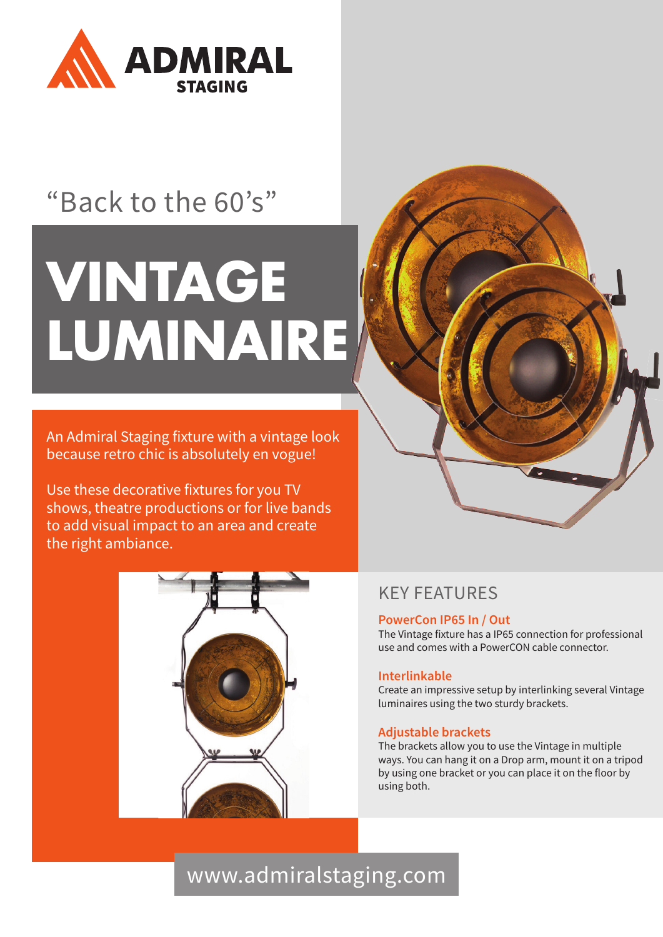

## "Back to the 60's"

# **VINTAGE LUMINAIRE**

An Admiral Staging fixture with a vintage look because retro chic is absolutely en vogue!

Use these decorative fixtures for you TV shows, theatre productions or for live bands to add visual impact to an area and create the right ambiance.



### KEY FEATURES

#### **PowerCon IP65 In / Out**

The Vintage fixture has a IP65 connection for professional use and comes with a PowerCON cable connector.

#### **Interlinkable**

Create an impressive setup by interlinking several Vintage luminaires using the two sturdy brackets.

#### **Adjustable brackets**

The brackets allow you to use the Vintage in multiple ways. You can hang it on a Drop arm, mount it on a tripod by using one bracket or you can place it on the floor by using both.

## www.admiralstaging.com